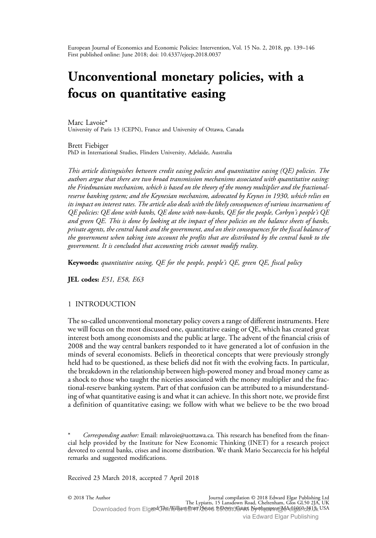European Journal of Economics and Economic Policies: Intervention, Vol. 15 No. 2, 2018, pp. 139–146 First published online: June 2018; doi: 10.4337/ejeep.2018.0037

# Unconventional monetary policies, with a focus on quantitative easing

Marc Lavoie\* University of Paris 13 (CEPN), France and University of Ottawa, Canada

Brett Fiebiger PhD in International Studies, Flinders University, Adelaide, Australia

This article distinguishes between credit easing policies and quantitative easing (QE) policies. The authors argue that there are two broad transmission mechanisms associated with quantitative easing: the Friedmanian mechanism, which is based on the theory of the money multiplier and the fractionalreserve banking system; and the Keynesian mechanism, advocated by Keynes in 1930, which relies on its impact on interest rates. The article also deals with the likely consequences of various incarnations of QE policies: QE done with banks, QE done with non-banks, QE for the people, Corbyn's people's QE and green QE. This is done by looking at the impact of these policies on the balance sheets of banks, private agents, the central bank and the government, and on their consequences for the fiscal balance of the government when taking into account the profits that are distributed by the central bank to the government. It is concluded that accounting tricks cannot modify reality.

Keywords: quantitative easing, QE for the people, people's QE, green QE, fiscal policy

JEL codes: E51, E58, E63

## 1 INTRODUCTION

The so-called unconventional monetary policy covers a range of different instruments. Here we will focus on the most discussed one, quantitative easing or QE, which has created great interest both among economists and the public at large. The advent of the financial crisis of 2008 and the way central bankers responded to it have generated a lot of confusion in the minds of several economists. Beliefs in theoretical concepts that were previously strongly held had to be questioned, as these beliefs did not fit with the evolving facts. In particular, the breakdown in the relationship between high-powered money and broad money came as a shock to those who taught the niceties associated with the money multiplier and the fractional-reserve banking system. Part of that confusion can be attributed to a misunderstanding of what quantitative easing is and what it can achieve. In this short note, we provide first a definition of quantitative easing; we follow with what we believe to be the two broad

Corresponding author: Email: [mlavoie@uottawa.ca.](mailto:mlavoie@uottawa.ca) This research has benefited from the financial help provided by the Institute for New Economic Thinking (INET) for a research project devoted to central banks, crises and income distribution. We thank Mario Seccareccia for his helpful remarks and suggested modifications.

Received 23 March 2018, accepted 7 April 2018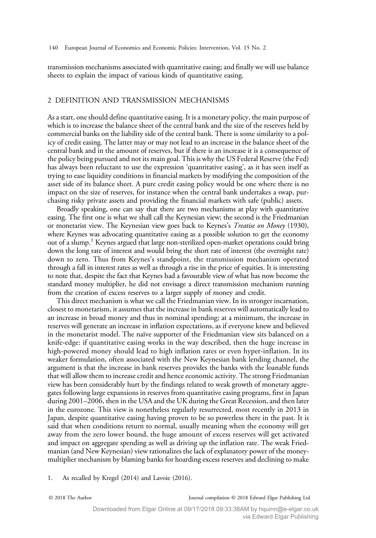transmission mechanisms associated with quantitative easing; and finally we will use balance sheets to explain the impact of various kinds of quantitative easing.

#### 2 DEFINITION AND TRANSMISSION MECHANISMS

As a start, one should define quantitative easing. It is a monetary policy, the main purpose of which is to increase the balance sheet of the central bank and the size of the reserves held by commercial banks on the liability side of the central bank. There is some similarity to a policy of credit easing. The latter may or may not lead to an increase in the balance sheet of the central bank and in the amount of reserves, but if there is an increase it is a consequence of the policy being pursued and not its main goal. This is why the US Federal Reserve (the Fed) has always been reluctant to use the expression 'quantitative easing', as it has seen itself as trying to ease liquidity conditions in financial markets by modifying the composition of the asset side of its balance sheet. A pure credit easing policy would be one where there is no impact on the size of reserves, for instance when the central bank undertakes a swap, purchasing risky private assets and providing the financial markets with safe (public) assets.

Broadly speaking, one can say that there are two mechanisms at play with quantitative easing. The first one is what we shall call the Keynesian view; the second is the Friedmanian or monetarist view. The Keynesian view goes back to Keynes's [Treatise on Money](#page-7-0) (1930), where Keynes was advocating quantitative easing as a possible solution to get the economy out of a slump.<sup>1</sup> Keynes argued that large non-sterilized open-market operations could bring down the long rate of interest and would bring the short rate of interest (the overnight rate) down to zero. Thus from Keynes's standpoint, the transmission mechanism operated through a fall in interest rates as well as through a rise in the price of equities. It is interesting to note that, despite the fact that Keynes had a favourable view of what has now become the standard money multiplier, he did not envisage a direct transmission mechanism running from the creation of excess reserves to a larger supply of money and credit.

This direct mechanism is what we call the Friedmanian view. In its stronger incarnation, closest to monetarism, it assumes that the increase in bank reserves will automatically lead to an increase in broad money and thus in nominal spending; at a minimum, the increase in reserves will generate an increase in inflation expectations, as if everyone knew and believed in the monetarist model. The naïve supporter of the Friedmanian view sits balanced on a knife-edge: if quantitative easing works in the way described, then the huge increase in high-powered money should lead to high inflation rates or even hyper-inflation. In its weaker formulation, often associated with the New Keynesian bank lending channel, the argument is that the increase in bank reserves provides the banks with the loanable funds that will allow them to increase credit and hence economic activity. The strong Friedmanian view has been considerably hurt by the findings related to weak growth of monetary aggregates following large expansions in reserves from quantitative easing programs, first in Japan during 2001–2006, then in the USA and the UK during the Great Recession, and then later in the eurozone. This view is nonetheless regularly resurrected, most recently in 2013 in Japan, despite quantitative easing having proven to be so powerless there in the past. It is said that when conditions return to normal, usually meaning when the economy will get away from the zero lower bound, the huge amount of excess reserves will get activated and impact on aggregate spending as well as driving up the inflation rate. The weak Friedmanian (and New Keynesian) view rationalizes the lack of explanatory power of the moneymultiplier mechanism by blaming banks for hoarding excess reserves and declining to make

1. As recalled by [Kregel \(2014\)](#page-7-0) and [Lavoie \(2016\).](#page-7-0)

© 2018 The Author Journal compilation © 2018 Edward Elgar Publishing Ltd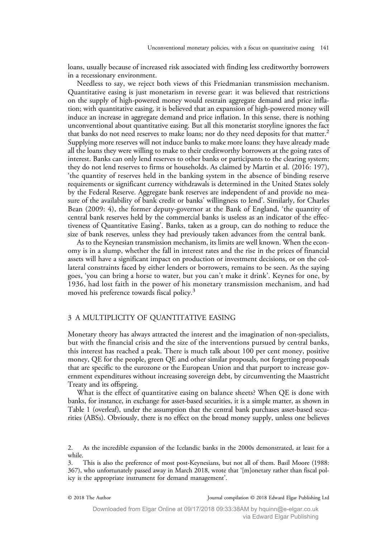loans, usually because of increased risk associated with finding less creditworthy borrowers in a recessionary environment.

Needless to say, we reject both views of this Friedmanian transmission mechanism. Quantitative easing is just monetarism in reverse gear: it was believed that restrictions on the supply of high-powered money would restrain aggregate demand and price inflation; with quantitative easing, it is believed that an expansion of high-powered money will induce an increase in aggregate demand and price inflation. In this sense, there is nothing unconventional about quantitative easing. But all this monetarist storyline ignores the fact that banks do not need reserves to make loans; nor do they need deposits for that matter.<sup>2</sup> Supplying more reserves will not induce banks to make more loans: they have already made all the loans they were willing to make to their creditworthy borrowers at the going rates of interest. Banks can only lend reserves to other banks or participants to the clearing system; they do not lend reserves to firms or households. As claimed by [Martin et al. \(2016](#page-7-0): 197), 'the quantity of reserves held in the banking system in the absence of binding reserve requirements or significant currency withdrawals is determined in the United States solely by the Federal Reserve. Aggregate bank reserves are independent of and provide no measure of the availability of bank credit or banks' willingness to lend'. Similarly, for [Charles](#page-7-0) [Bean \(2009:](#page-7-0) 4), the former deputy-governor at the Bank of England, 'the quantity of central bank reserves held by the commercial banks is useless as an indicator of the effectiveness of Quantitative Easing'. Banks, taken as a group, can do nothing to reduce the size of bank reserves, unless they had previously taken advances from the central bank.

As to the Keynesian transmission mechanism, its limits are well known. When the economy is in a slump, whether the fall in interest rates and the rise in the prices of financial assets will have a significant impact on production or investment decisions, or on the collateral constraints faced by either lenders or borrowers, remains to be seen. As the saying goes, 'you can bring a horse to water, but you can't make it drink'. Keynes for one, by 1936, had lost faith in the power of his monetary transmission mechanism, and had moved his preference towards fiscal policy.<sup>3</sup>

### 3 A MULTIPLICITY OF QUANTITATIVE EASING

Monetary theory has always attracted the interest and the imagination of non-specialists, but with the financial crisis and the size of the interventions pursued by central banks, this interest has reached a peak. There is much talk about 100 per cent money, positive money, QE for the people, green QE and other similar proposals, not forgetting proposals that are specific to the eurozone or the European Union and that purport to increase government expenditures without increasing sovereign debt, by circumventing the Maastricht Treaty and its offspring.

What is the effect of quantitative easing on balance sheets? When QE is done with banks, for instance, in exchange for asset-based securities, it is a simple matter, as shown in [Table 1](#page-3-0) (overleaf), under the assumption that the central bank purchases asset-based securities (ABSs). Obviously, there is no effect on the broad money supply, unless one believes

<sup>2.</sup> As the incredible expansion of the Icelandic banks in the 2000s demonstrated, at least for a while.

<sup>3.</sup> This is also the preference of most post-Keynesians, but not all of them. [Basil Moore \(1988:](#page-7-0) 367), who unfortunately passed away in March 2018, wrote that '[m]onetary rather than fiscal policy is the appropriate instrument for demand management'.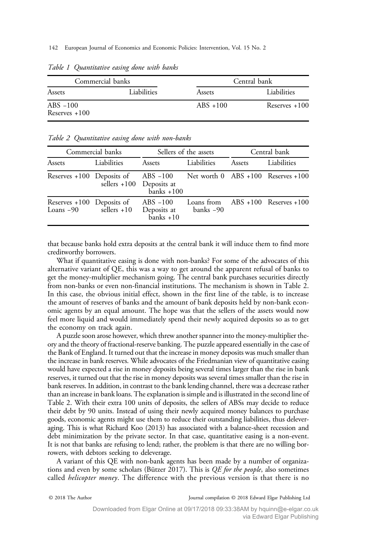| Commercial banks                     |             | Central bank       |                 |  |
|--------------------------------------|-------------|--------------------|-----------------|--|
| Assets                               | Liabilities | Assets             | Liabilities     |  |
| $\text{ABS}$ -100<br>$Reserves +100$ |             | $\text{ABS} + 100$ | Reserves $+100$ |  |

<span id="page-3-0"></span>Table 1 Quantitative easing done with banks

|                           | Commercial banks                                                                                  |                             | Sellers of the assets |        | Central bank                                 |
|---------------------------|---------------------------------------------------------------------------------------------------|-----------------------------|-----------------------|--------|----------------------------------------------|
| Assets                    | Liabilities                                                                                       | Assets                      | Liabilities           | Assets | Liabilities                                  |
|                           | Reserves +100 Deposits of ABS -100 Net worth 0 ABS +100 Reserves +100<br>sellers +100 Deposits at | $banks + 100$               |                       |        |                                              |
| Loans $-90$ sellers $+10$ | Reserves $+100$ Deposits of ABS $-100$                                                            | Deposits at<br>$banks + 10$ | banks –90             |        | Loans from $\text{ABS }+100$ Reserves $+100$ |

Table 2 Quantitative easing done with non-banks

that because banks hold extra deposits at the central bank it will induce them to find more creditworthy borrowers.

What if quantitative easing is done with non-banks? For some of the advocates of this alternative variant of QE, this was a way to get around the apparent refusal of banks to get the money-multiplier mechanism going. The central bank purchases securities directly from non-banks or even non-financial institutions. The mechanism is shown in Table 2. In this case, the obvious initial effect, shown in the first line of the table, is to increase the amount of reserves of banks and the amount of bank deposits held by non-bank economic agents by an equal amount. The hope was that the sellers of the assets would now feel more liquid and would immediately spend their newly acquired deposits so as to get the economy on track again.

A puzzle soon arose however, which threw another spanner into the money-multiplier theory and the theory of fractional-reserve banking. The puzzle appeared essentially in the case of the Bank of England. It turned out that the increase in money deposits was much smaller than the increase in bank reserves. While advocates of the Friedmanian view of quantitative easing would have expected a rise in money deposits being several times larger than the rise in bank reserves, it turned out that the rise in money deposits was several times smaller than the rise in bank reserves. In addition, in contrast to the bank lending channel, there was a decrease rather than an increase in bank loans. The explanation is simple and is illustrated in the second line of Table 2. With their extra 100 units of deposits, the sellers of ABSs may decide to reduce their debt by 90 units. Instead of using their newly acquired money balances to purchase goods, economic agents might use them to reduce their outstanding liabilities, thus deleveraging. This is what [Richard Koo \(2013\)](#page-7-0) has associated with a balance-sheet recession and debt minimization by the private sector. In that case, quantitative easing is a non-event. It is not that banks are refusing to lend; rather, the problem is that there are no willing borrowers, with debtors seeking to deleverage.

A variant of this QE with non-bank agents has been made by a number of organiza-tions and even by some scholars [\(Bützer 2017](#page-7-0)). This is *QE for the people*, also sometimes called *helicopter money*. The difference with the previous version is that there is no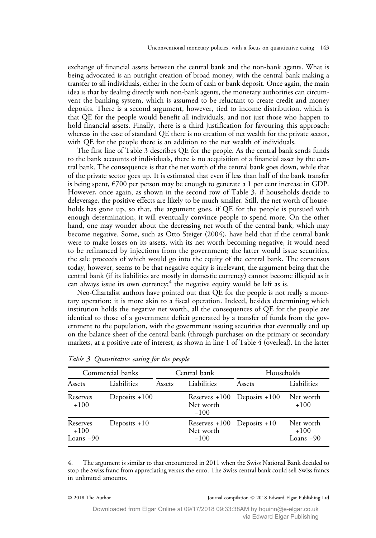exchange of financial assets between the central bank and the non-bank agents. What is being advocated is an outright creation of broad money, with the central bank making a transfer to all individuals, either in the form of cash or bank deposit. Once again, the main idea is that by dealing directly with non-bank agents, the monetary authorities can circumvent the banking system, which is assumed to be reluctant to create credit and money deposits. There is a second argument, however, tied to income distribution, which is that QE for the people would benefit all individuals, and not just those who happen to hold financial assets. Finally, there is a third justification for favouring this approach: whereas in the case of standard QE there is no creation of net wealth for the private sector, with QE for the people there is an addition to the net wealth of individuals.

The first line of Table 3 describes QE for the people. As the central bank sends funds to the bank accounts of individuals, there is no acquisition of a financial asset by the central bank. The consequence is that the net worth of the central bank goes down, while that of the private sector goes up. It is estimated that even if less than half of the bank transfer is being spent,  $\epsilon$ 700 per person may be enough to generate a 1 per cent increase in GDP. However, once again, as shown in the second row of Table 3, if households decide to deleverage, the positive effects are likely to be much smaller. Still, the net worth of households has gone up, so that, the argument goes, if QE for the people is pursued with enough determination, it will eventually convince people to spend more. On the other hand, one may wonder about the decreasing net worth of the central bank, which may become negative. Some, such as [Otto Steiger \(2004\)](#page-7-0), have held that if the central bank were to make losses on its assets, with its net worth becoming negative, it would need to be refinanced by injections from the government; the latter would issue securities, the sale proceeds of which would go into the equity of the central bank. The consensus today, however, seems to be that negative equity is irrelevant, the argument being that the central bank (if its liabilities are mostly in domestic currency) cannot become illiquid as it can always issue its own currency;<sup>4</sup> the negative equity would be left as is.

Neo-Chartalist authors have pointed out that QE for the people is not really a monetary operation: it is more akin to a fiscal operation. Indeed, besides determining which institution holds the negative net worth, all the consequences of QE for the people are identical to those of a government deficit generated by a transfer of funds from the government to the population, with the government issuing securities that eventually end up on the balance sheet of the central bank (through purchases on the primary or secondary markets, at a positive rate of interest, as shown in line 1 of [Table 4](#page-5-0) (overleaf). In the latter

| Commercial banks                  |                 | Central bank |                                                       | Households                      |                                    |
|-----------------------------------|-----------------|--------------|-------------------------------------------------------|---------------------------------|------------------------------------|
| Assets                            | Liabilities     | Assets       | Liabilities                                           | Assets                          | Liabilities                        |
| Reserves<br>$+100$                | Deposits $+100$ |              | Net worth<br>$-100$                                   | Reserves $+100$ Deposits $+100$ | Net worth<br>$+100$                |
| Reserves<br>$+100$<br>Loans $-90$ | Deposits $+10$  |              | Reserves $+100$ Deposits $+10$<br>Net worth<br>$-100$ |                                 | Net worth<br>$+100$<br>Loans $-90$ |

Table 3 Quantitative easing for the people

4. The argument is similar to that encountered in 2011 when the Swiss National Bank decided to stop the Swiss franc from appreciating versus the euro. The Swiss central bank could sell Swiss francs in unlimited amounts.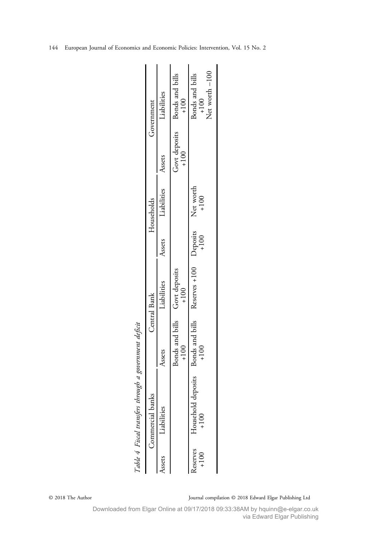<span id="page-5-0"></span>

| and the strain of the cities of the content of the strain of | Government           | Liabilities | Govt deposits Bonds and bills<br>$+100$ | Net worth -100<br>Bonds and bills<br>$+100$                                    |
|--------------------------------------------------------------|----------------------|-------------|-----------------------------------------|--------------------------------------------------------------------------------|
|                                                              |                      | Assets      | $+100$                                  |                                                                                |
|                                                              | Households           | Liabilities |                                         | Net worth<br>$+100$                                                            |
|                                                              |                      | Assets      |                                         |                                                                                |
|                                                              | Central Bank         | Liabilities | $+100$                                  |                                                                                |
|                                                              |                      | Assets      | Bonds and bills Govt deposits<br>$+100$ |                                                                                |
|                                                              | anks<br>Commercial L | iabilities  |                                         | Household deposits Bonds and bills Reserves +100 Deposits $\cdot$<br>+100 +100 |
|                                                              |                      | ssets       |                                         | <b>Leserves</b>                                                                |

Table 4 Fiscal transfers through a government deficit Table 4 Fiscal transfers through a government deficit

© 2018 The Author Journal compilation © 2018 Edward Elgar Publishing Ltd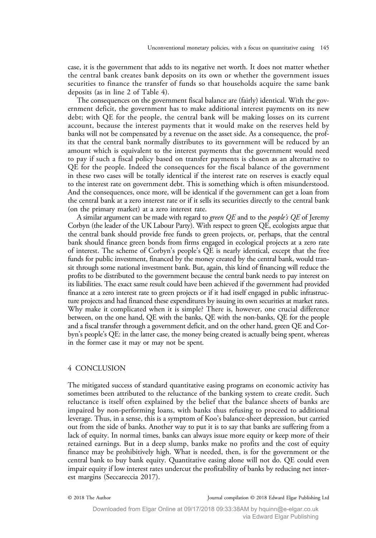case, it is the government that adds to its negative net worth. It does not matter whether the central bank creates bank deposits on its own or whether the government issues securities to finance the transfer of funds so that households acquire the same bank deposits (as in line 2 of [Table 4\)](#page-5-0).

The consequences on the government fiscal balance are (fairly) identical. With the government deficit, the government has to make additional interest payments on its new debt; with QE for the people, the central bank will be making losses on its current account, because the interest payments that it would make on the reserves held by banks will not be compensated by a revenue on the asset side. As a consequence, the profits that the central bank normally distributes to its government will be reduced by an amount which is equivalent to the interest payments that the government would need to pay if such a fiscal policy based on transfer payments is chosen as an alternative to QE for the people. Indeed the consequences for the fiscal balance of the government in these two cases will be totally identical if the interest rate on reserves is exactly equal to the interest rate on government debt. This is something which is often misunderstood. And the consequences, once more, will be identical if the government can get a loan from the central bank at a zero interest rate or if it sells its securities directly to the central bank (on the primary market) at a zero interest rate.

A similar argument can be made with regard to green  $QE$  and to the people's  $QE$  of Jeremy Corbyn (the leader of the UK Labour Party). With respect to green QE, ecologists argue that the central bank should provide free funds to green projects, or, perhaps, that the central bank should finance green bonds from firms engaged in ecological projects at a zero rate of interest. The scheme of Corbyn's people's QE is nearly identical, except that the free funds for public investment, financed by the money created by the central bank, would transit through some national investment bank. But, again, this kind of financing will reduce the profits to be distributed to the government because the central bank needs to pay interest on its liabilities. The exact same result could have been achieved if the government had provided finance at a zero interest rate to green projects or if it had itself engaged in public infrastructure projects and had financed these expenditures by issuing its own securities at market rates. Why make it complicated when it is simple? There is, however, one crucial difference between, on the one hand, QE with the banks, QE with the non-banks, QE for the people and a fiscal transfer through a government deficit, and on the other hand, green QE and Corbyn's people's QE: in the latter case, the money being created is actually being spent, whereas in the former case it may or may not be spent.

## 4 CONCLUSION

The mitigated success of standard quantitative easing programs on economic activity has sometimes been attributed to the reluctance of the banking system to create credit. Such reluctance is itself often explained by the belief that the balance sheets of banks are impaired by non-performing loans, with banks thus refusing to proceed to additional leverage. Thus, in a sense, this is a symptom of Koo's balance-sheet depression, but carried out from the side of banks. Another way to put it is to say that banks are suffering from a lack of equity. In normal times, banks can always issue more equity or keep more of their retained earnings. But in a deep slump, banks make no profits and the cost of equity finance may be prohibitively high. What is needed, then, is for the government or the central bank to buy bank equity. Quantitative easing alone will not do. QE could even impair equity if low interest rates undercut the profitability of banks by reducing net interest margins [\(Seccareccia 2017](#page-7-0)).

© 2018 The Author Journal compilation © 2018 Edward Elgar Publishing Ltd